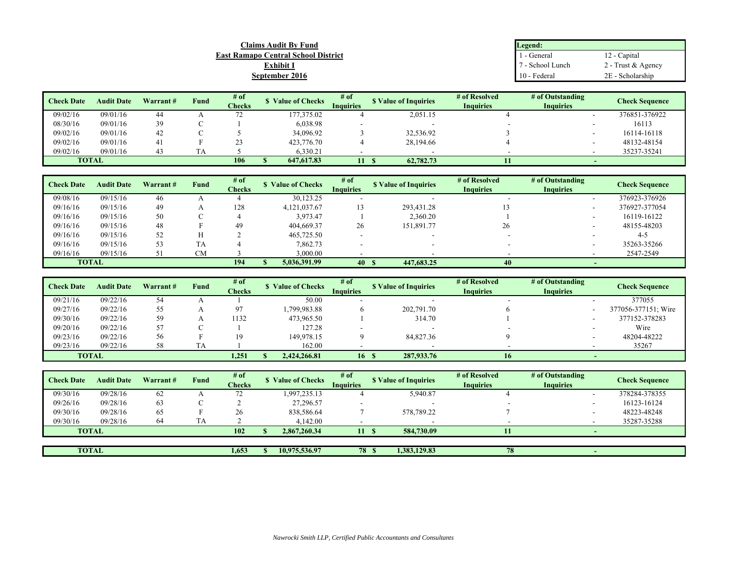| <b>Claims Audit By Fund</b>                | Legend:          |                    |
|--------------------------------------------|------------------|--------------------|
| <b>East Ramapo Central School District</b> | - General        | 12 - Capital       |
| $\nabla$ xhibit I                          | ' - School Lunch | 2 - Trust & Agency |
| September 2016                             | 10 - Federal     | 2E - Scholarship   |

| <b>Check Date</b> | <b>Audit Date</b> | Warrant# | Fund | # of          | <b>S</b> Value of Checks | # of             | <b>S</b> Value of Inquiries | # of Resolved    | # of Outstanding | <b>Check Sequence</b> |  |
|-------------------|-------------------|----------|------|---------------|--------------------------|------------------|-----------------------------|------------------|------------------|-----------------------|--|
|                   |                   |          |      | <b>Checks</b> |                          | <b>Inquiries</b> |                             | <b>Inquiries</b> | <b>Inquiries</b> |                       |  |
| 09/02/16          | 09/01/16          | 44       |      | ت ا           | 177,375.02               |                  | 2,051.15                    |                  |                  | 376851-376922         |  |
| 08/30/16          | 09/01/16          | 30       |      |               | 6,038.98                 |                  |                             |                  |                  | 16113                 |  |
| 09/02/16          | 09/01/16          | 42       |      |               | 34,096.92                |                  | 32,536.92                   |                  |                  | 16114-16118           |  |
| 09/02/16          | 09/01/16          | 41       |      | رے            | 423,776.70               |                  | 28,194.66                   |                  |                  | 48132-48154           |  |
| 09/02/16          | 09/01/16          |          |      |               | 6.330.21                 |                  |                             |                  |                  | 35237-35241           |  |
| <b>TOTAL</b>      |                   |          |      | 106           | 647,617.83               |                  | 62,782.73                   |                  |                  |                       |  |

| <b>Check Date</b> | <b>Audit Date</b> | Warrant# | Fund | # of<br><b>Checks</b> | <b>Value of Checks</b> | $#$ of<br><b>Inquiries</b> | <b>S</b> Value of Inquiries | # of Resolved<br><b>Inquiries</b> | # of Outstanding<br><b>Inquiries</b> | <b>Check Sequence</b> |
|-------------------|-------------------|----------|------|-----------------------|------------------------|----------------------------|-----------------------------|-----------------------------------|--------------------------------------|-----------------------|
| 09/08/16          | 09/15/16          | 46       |      |                       | 30,123.25              |                            |                             |                                   |                                      | 376923-376926         |
| 09/16/16          | 09/15/16          | 49       |      | 128                   | 4,121,037.67           |                            | 293,431.28                  |                                   |                                      | 376927-377054         |
| 09/16/16          | 09/15/16          | 50       |      |                       | 3.973.47               |                            | 2,360.20                    |                                   |                                      | 16119-16122           |
| 09/16/16          | 09/15/16          | 48       |      | 49                    | 404,669.37             | 26                         | 151,891.77                  | 26                                |                                      | 48155-48203           |
| 09/16/16          | 09/15/16          | 52       |      |                       | 465,725.50             |                            |                             |                                   |                                      | $4 - 5$               |
| 09/16/16          | 09/15/16          | 53       | TA   |                       | 7,862.73               |                            |                             |                                   |                                      | 35263-35266           |
| 09/16/16          | 09/15/16          |          | CM   |                       | 3,000.00               |                            |                             |                                   |                                      | 2547-2549             |
| <b>TOTAL</b>      |                   |          |      | 194                   | 5,036,391.99           | $-40$                      | 447,683.25                  |                                   |                                      |                       |

| <b>Check Date</b> | <b>Audit Date</b> | Warrant# | Fund | # of<br><b>Checks</b> | <b>S</b> Value of Checks | $#$ of<br><b>Inquiries</b> | <b>S</b> Value of Inquiries | # of Resolved<br><b>Inquiries</b> | # of Outstanding<br><b>Inquiries</b> | <b>Check Sequence</b> |
|-------------------|-------------------|----------|------|-----------------------|--------------------------|----------------------------|-----------------------------|-----------------------------------|--------------------------------------|-----------------------|
| 09/21/16          | 09/22/16          | 54       |      |                       | 50.00                    |                            |                             |                                   |                                      | 377055                |
| 09/27/16          | 09/22/16          | 55       |      | 97                    | .799,983.88              |                            | 202,791.70                  |                                   |                                      | 377056-377151; Wire   |
| 09/30/16          | 09/22/16          | 59       |      | 1132                  | 473,965.50               |                            | 314.70                      |                                   |                                      | 377152-378283         |
| 09/20/16          | 09/22/16          | 57       |      |                       | 127.28                   |                            |                             |                                   |                                      | Wire                  |
| 09/23/16          | 09/22/16          | 56       |      | 19                    | 149,978.15               |                            | 84,827.36                   |                                   |                                      | 48204-48222           |
| 09/23/16          | 09/22/16          | 58       | TA   |                       | 162.00                   |                            |                             |                                   |                                      | 35267                 |
| <b>TOTAL</b>      |                   |          |      | 1,251                 | 2.424.266.81             | 16                         | 287,933.76<br>- 5           | 16                                |                                      |                       |

| <b>Check Date</b> | <b>Audit Date</b> | Warrant# | Fund | $#$ of<br>Checks | <b>S</b> Value of Checks | # of<br>Inquiries |              | <b>S</b> Value of Inquiries | # of Resolved<br><b>Inquiries</b> | # of Outstanding<br><b>Inquiries</b> | <b>Check Sequence</b> |
|-------------------|-------------------|----------|------|------------------|--------------------------|-------------------|--------------|-----------------------------|-----------------------------------|--------------------------------------|-----------------------|
| 09/30/16          | 09/28/16          | 62       |      | ے ا              | 1,997,235.13             |                   |              | 5,940.87                    |                                   |                                      | 378284-378355         |
| 09/26/16          | 09/28/16          | 63       |      |                  | 27.296.57                |                   |              |                             | $\overline{\phantom{a}}$          | $\overline{\phantom{a}}$             | 16123-16124           |
| 09/30/16          | 09/28/16          | 65       |      | 26               | 838,586.64               |                   |              | 578,789.22                  |                                   |                                      | 48223-48248           |
| 09/30/16          | 09/28/16          | 64       | TА   |                  | 4,142.00                 |                   |              |                             |                                   |                                      | 35287-35288           |
| <b>TOTAL</b>      |                   |          |      | 102              | 2.867.260.34             | 11                |              | 584,730.09                  |                                   |                                      |                       |
|                   |                   |          |      |                  |                          |                   |              |                             |                                   |                                      |                       |
| <b>TOTAL</b>      |                   |          |      | 1,653            | 10.975.536.97            |                   | <b>78 \$</b> | 1.383.129.83                | 78                                |                                      |                       |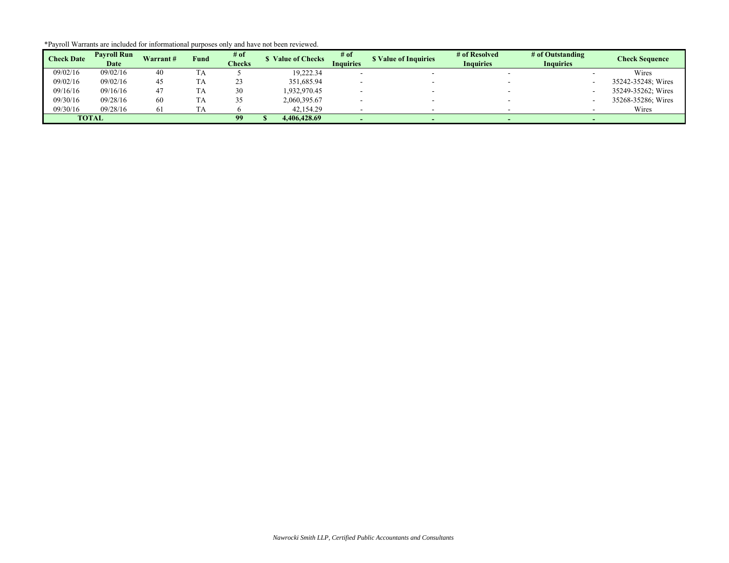|  | *Payroll Warrants are included for informational purposes only and have not been reviewed. |  |  |
|--|--------------------------------------------------------------------------------------------|--|--|
|  |                                                                                            |  |  |

|                   | <b>Payroll Run</b> | Warrant# |      | # of          | <b>Value of Checks</b> | # of             | <b>S</b> Value of Inquiries | # of Resolved    | # of Outstanding | <b>Check Sequence</b> |
|-------------------|--------------------|----------|------|---------------|------------------------|------------------|-----------------------------|------------------|------------------|-----------------------|
| <b>Check Date</b> | Date               |          | Fund | <b>Checks</b> |                        | <b>Inquiries</b> |                             | <b>Inquiries</b> | <b>Inquiries</b> |                       |
| 09/02/16          | 09/02/16           | 40       | TA   |               | 19,222.34              |                  |                             |                  |                  | Wires                 |
| 09/02/16          | 09/02/16           | 45       | TA   | رے            | 351,685.94             |                  |                             |                  |                  | 35242-35248; Wires    |
| 09/16/16          | 09/16/16           |          | TA   | 30            | 1,932,970.45           |                  |                             |                  |                  | 35249-35262; Wires    |
| 09/30/16          | 09/28/16           | 60       | TA   |               | 2,060,395.67           |                  |                             |                  |                  | 35268-35286; Wires    |
| 09/30/16          | 09/28/16           |          | TA   |               | 42,154.29              |                  |                             |                  |                  | Wires                 |
| <b>TOTAL</b>      |                    |          |      | 99            | 4,406,428.69           |                  |                             |                  |                  |                       |